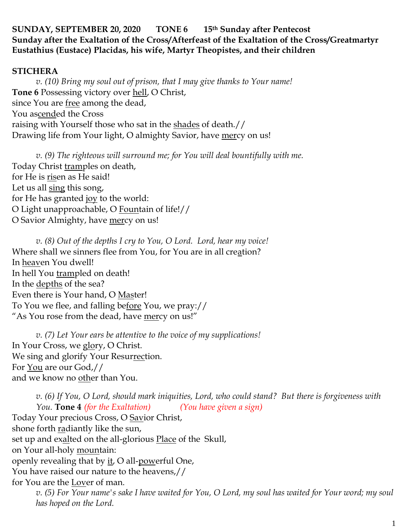#### **SUNDAY, SEPTEMBER 20, 2020 TONE 6 15th Sunday after Pentecost Sunday after the Exaltation of the Cross/Afterfeast of the Exaltation of the Cross/Greatmartyr Eustathius (Eustace) Placidas, his wife, Martyr Theopistes, and their children**

#### **STICHERA**

*v. (10) Bring my soul out of prison, that I may give thanks to Your name!*  **Tone 6** Possessing victory over hell, O Christ, since You are free among the dead, You ascended the Cross raising with Yourself those who sat in the shades of death.// Drawing life from Your light, O almighty Savior, have mercy on us!

*v. (9) The righteous will surround me; for You will deal bountifully with me.*  Today Christ tramples on death, for He is risen as He said! Let us all sing this song, for He has granted joy to the world: O Light unapproachable, O Fountain of life!// O Savior Almighty, have mercy on us!

*v. (8) Out of the depths I cry to You, O Lord. Lord, hear my voice!*  Where shall we sinners flee from You, for You are in all creation? In heaven You dwell! In hell You trampled on death! In the depths of the sea? Even there is Your hand, O Master! To You we flee, and falling before You, we pray:// "As You rose from the dead, have mercy on us!"

*v. (7) Let Your ears be attentive to the voice of my supplications!* In Your Cross, we glory, O Christ. We sing and glorify Your Resurrection. For You are our God,// and we know no other than You.

*v. (6) If You, O Lord, should mark iniquities, Lord, who could stand? But there is forgiveness with You.* **Tone 4** *(for the Exaltation) (You have given a sign)* Today Your precious Cross, O Savior Christ, shone forth radiantly like the sun, set up and exalted on the all-glorious Place of the Skull, on Your all-holy <u>moun</u>tain: openly revealing that by it, O all-powerful One, You have raised our nature to the heavens,// for You are the Lover of man. *v. (5) For Your name's sake I have waited for You, O Lord, my soul has waited for Your word; my soul has hoped on the Lord.*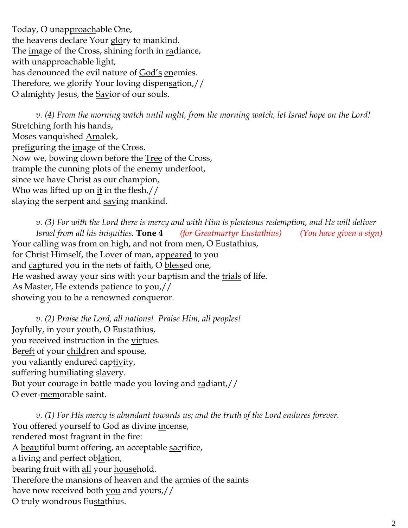Today, O unapproachable One, the heavens declare Your glory to mankind. The image of the Cross, shining forth in radiance, with unapproachable light, has denounced the evil nature of God's enemies. Therefore, we glorify Your loving dispensation,// O almighty Jesus, the <u>Sav</u>ior of our souls.

*v. (4) From the morning watch until night, from the morning watch, let Israel hope on the Lord!*  Stretching forth his hands, Moses vanquished Amalek, prefiguring the image of the Cross. Now we, bowing down before the Tree of the Cross, trample the cunning plots of the enemy underfoot, since we have Christ as our champion, Who was lifted up on it in the flesh,// slaying the serpent and saving mankind.

*v. (3) For with the Lord there is mercy and with Him is plenteous redemption, and He will deliver Israel from all his iniquities.* **Tone 4** *(for Greatmartyr Eustathius) (You have given a sign)* Your calling was from on high, and not from men, O Eustathius, for Christ Himself, the Lover of man, appeared to you and captured you in the nets of faith, O blessed one, He washed away your sins with your baptism and the trials of life. As Master, He extends patience to you,// showing you to be a renowned conqueror.

*v. (2) Praise the Lord, all nations! Praise Him, all peoples!* Joyfully, in your youth, O Eustathius, you received instruction in the virtues. Bereft of your children and spouse, you valiantly endured captivity, suffering humiliating slavery. But your courage in battle made you loving and radiant,// O ever-memorable saint.

*v. (1) For His mercy is abundant towards us; and the truth of the Lord endures forever.*  You offered yourself to God as divine incense, rendered most fragrant in the fire: A beautiful burnt offering, an acceptable sacrifice, a living and perfect oblation, bearing fruit with all your household. Therefore the mansions of heaven and the armies of the saints have now received both you and yours,// O truly wondrous Eustathius.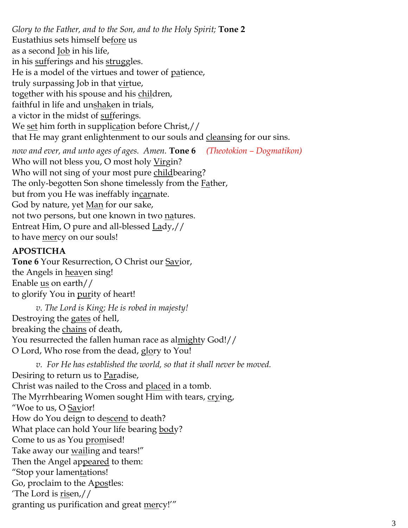*Glory to the Father, and to the Son, and to the Holy Spirit;* **Tone 2** Eustathius sets himself before us as a second <u>Job</u> in his life, in his sufferings and his struggles. He is a model of the virtues and tower of patience, truly surpassing Job in that <u>vir</u>tue, together with his spouse and his children, faithful in life and unshaken in trials, a victor in the midst of <u>sufferings</u>. We <u>set</u> him forth in supplication before Christ,// that He may grant enlightenment to our souls and cleansing for our sins. *now and ever, and unto ages of ages. Amen.* **Tone 6** *(Theotokion – Dogmatikon)* Who will not bless you, O most holy Virgin? Who will not sing of your most pure childbearing?

The only-begotten Son shone timelessly from the **Father**,

but from you He was ineffably incarnate.

God by nature, yet Man for our sake,

not two persons, but one known in two natures.

Entreat Him, O pure and all-blessed Lady,//

to have <u>mer</u>cy on our souls!

## **APOSTICHA**

**Tone 6** Your Resurrection, O Christ our <u>Sav</u>ior, the Angels in heaven sing! Enable  $us$  on earth//</u> to glorify You in <u>pur</u>ity of heart!

*v. The Lord is King; He is robed in majesty!*  Destroying the gates of hell, breaking the chains of death, You resurrected the fallen human race as almighty God!// O Lord, Who rose from the dead, glory to You!

*v. For He has established the world, so that it shall never be moved.* Desiring to return us to Paradise, Christ was nailed to the Cross and placed in a tomb. The Myrrhbearing Women sought Him with tears, crying, "Woe to us, O Savior! How do You deign to descend to death? What place can hold Your life bearing body? Come to us as You promised! Take away our <u>wail</u>ing and tears!" Then the Angel appeared to them: "Stop your lamentations! Go, proclaim to the Apostles: The Lord is  $\frac{risen}{l}$ granting us purification and great mercy!'"